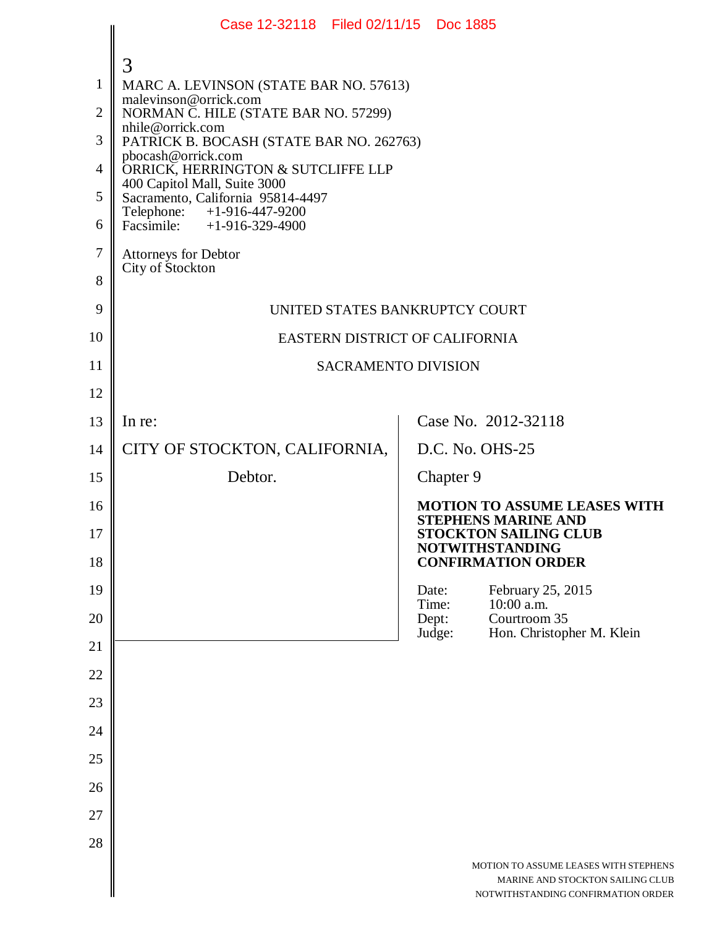|                | Case 12-32118 Filed 02/11/15 Doc 1885                             |                 |                                                                        |  |  |  |
|----------------|-------------------------------------------------------------------|-----------------|------------------------------------------------------------------------|--|--|--|
|                | 3                                                                 |                 |                                                                        |  |  |  |
| $\mathbf{1}$   | MARC A. LEVINSON (STATE BAR NO. 57613)                            |                 |                                                                        |  |  |  |
| $\overline{2}$ | malevinson@orrick.com<br>NORMAN C. HILE (STATE BAR NO. 57299)     |                 |                                                                        |  |  |  |
| 3              | nhile@orrick.com<br>PATRICK B. BOCASH (STATE BAR NO. 262763)      |                 |                                                                        |  |  |  |
| $\overline{4}$ | pbocash@orrick.com<br>ORRICK, HERRINGTON & SUTCLIFFE LLP          |                 |                                                                        |  |  |  |
| 5              | 400 Capitol Mall, Suite 3000<br>Sacramento, California 95814-4497 |                 |                                                                        |  |  |  |
| 6              | Telephone: +1-916-447-9200<br>Facsimile: $+1-916-329-4900$        |                 |                                                                        |  |  |  |
| $\tau$         | Attorneys for Debtor                                              |                 |                                                                        |  |  |  |
| 8              | City of Stockton                                                  |                 |                                                                        |  |  |  |
| 9              | UNITED STATES BANKRUPTCY COURT                                    |                 |                                                                        |  |  |  |
| 10             | EASTERN DISTRICT OF CALIFORNIA                                    |                 |                                                                        |  |  |  |
| 11             | <b>SACRAMENTO DIVISION</b>                                        |                 |                                                                        |  |  |  |
| 12             |                                                                   |                 |                                                                        |  |  |  |
| 13             | In re:                                                            |                 | Case No. 2012-32118                                                    |  |  |  |
| 14             | CITY OF STOCKTON, CALIFORNIA,                                     |                 | D.C. No. OHS-25                                                        |  |  |  |
| 15             | Debtor.                                                           | Chapter 9       |                                                                        |  |  |  |
| 16             |                                                                   |                 | <b>MOTION TO ASSUME LEASES WITH</b><br><b>STEPHENS MARINE AND</b>      |  |  |  |
| 17             |                                                                   |                 | <b>STOCKTON SAILING CLUB</b><br><b>NOTWITHSTANDING</b>                 |  |  |  |
| 18             |                                                                   |                 | <b>CONFIRMATION ORDER</b>                                              |  |  |  |
| 19             |                                                                   | Date:<br>Time:  | February 25, 2015<br>10:00 a.m.                                        |  |  |  |
| 20             |                                                                   | Dept:<br>Judge: | Courtroom 35<br>Hon. Christopher M. Klein                              |  |  |  |
| 21             |                                                                   |                 |                                                                        |  |  |  |
| 22             |                                                                   |                 |                                                                        |  |  |  |
| 23             |                                                                   |                 |                                                                        |  |  |  |
| 24             |                                                                   |                 |                                                                        |  |  |  |
| 25             |                                                                   |                 |                                                                        |  |  |  |
| 26             |                                                                   |                 |                                                                        |  |  |  |
| 27             |                                                                   |                 |                                                                        |  |  |  |
| 28             |                                                                   |                 | MOTION TO ASSUME LEASES WITH STEPHENS                                  |  |  |  |
|                |                                                                   |                 | MARINE AND STOCKTON SAILING CLUB<br>NOTWITHSTANDING CONFIRMATION ORDER |  |  |  |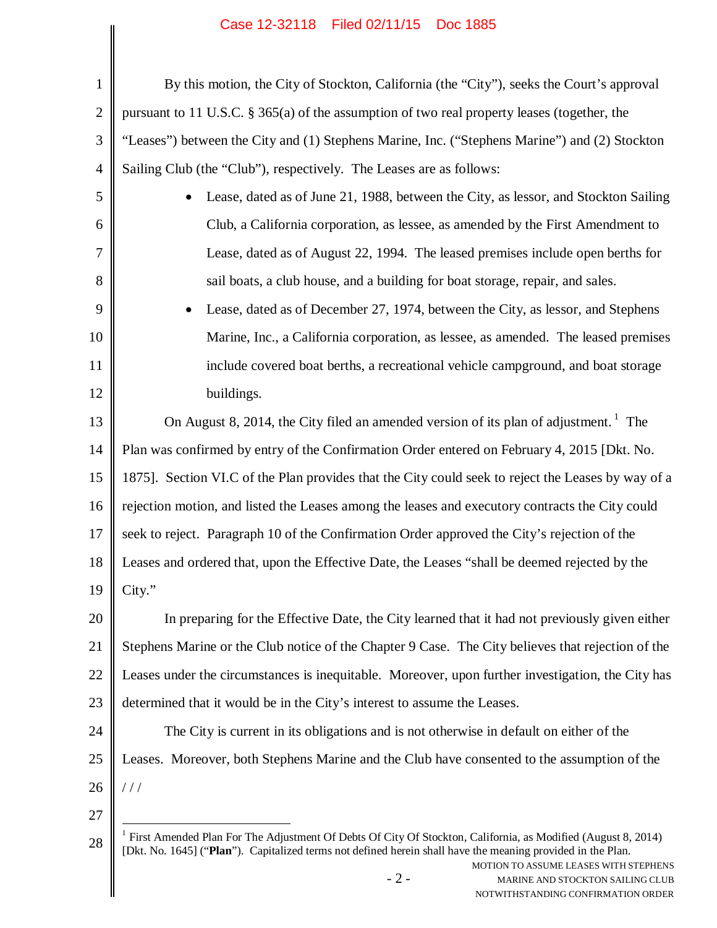## Case 12-32118 Filed 02/11/15 Doc 1885

| 1              | By this motion, the City of Stockton, California (the "City"), seeks the Court's approval                                                                                                                                                                                                                                                                            |  |  |  |  |
|----------------|----------------------------------------------------------------------------------------------------------------------------------------------------------------------------------------------------------------------------------------------------------------------------------------------------------------------------------------------------------------------|--|--|--|--|
| $\overline{2}$ | pursuant to 11 U.S.C. § 365(a) of the assumption of two real property leases (together, the                                                                                                                                                                                                                                                                          |  |  |  |  |
| 3              | "Leases") between the City and (1) Stephens Marine, Inc. ("Stephens Marine") and (2) Stockton                                                                                                                                                                                                                                                                        |  |  |  |  |
| $\overline{4}$ | Sailing Club (the "Club"), respectively. The Leases are as follows:                                                                                                                                                                                                                                                                                                  |  |  |  |  |
| 5              | Lease, dated as of June 21, 1988, between the City, as lessor, and Stockton Sailing                                                                                                                                                                                                                                                                                  |  |  |  |  |
| 6              | Club, a California corporation, as lessee, as amended by the First Amendment to                                                                                                                                                                                                                                                                                      |  |  |  |  |
| 7              | Lease, dated as of August 22, 1994. The leased premises include open berths for                                                                                                                                                                                                                                                                                      |  |  |  |  |
| 8              | sail boats, a club house, and a building for boat storage, repair, and sales.                                                                                                                                                                                                                                                                                        |  |  |  |  |
| 9              | Lease, dated as of December 27, 1974, between the City, as lessor, and Stephens<br>٠                                                                                                                                                                                                                                                                                 |  |  |  |  |
| 10             | Marine, Inc., a California corporation, as lessee, as amended. The leased premises                                                                                                                                                                                                                                                                                   |  |  |  |  |
| 11             | include covered boat berths, a recreational vehicle campground, and boat storage                                                                                                                                                                                                                                                                                     |  |  |  |  |
| 12             | buildings.                                                                                                                                                                                                                                                                                                                                                           |  |  |  |  |
| 13             | On August 8, 2014, the City filed an amended version of its plan of adjustment. <sup>1</sup> The                                                                                                                                                                                                                                                                     |  |  |  |  |
| 14             | Plan was confirmed by entry of the Confirmation Order entered on February 4, 2015 [Dkt. No.                                                                                                                                                                                                                                                                          |  |  |  |  |
| 15             | 1875]. Section VI.C of the Plan provides that the City could seek to reject the Leases by way of a                                                                                                                                                                                                                                                                   |  |  |  |  |
| 16             | rejection motion, and listed the Leases among the leases and executory contracts the City could                                                                                                                                                                                                                                                                      |  |  |  |  |
| 17             | seek to reject. Paragraph 10 of the Confirmation Order approved the City's rejection of the                                                                                                                                                                                                                                                                          |  |  |  |  |
| 18             | Leases and ordered that, upon the Effective Date, the Leases "shall be deemed rejected by the                                                                                                                                                                                                                                                                        |  |  |  |  |
| 19             | City."                                                                                                                                                                                                                                                                                                                                                               |  |  |  |  |
| 20             | In preparing for the Effective Date, the City learned that it had not previously given either                                                                                                                                                                                                                                                                        |  |  |  |  |
| 21             | Stephens Marine or the Club notice of the Chapter 9 Case. The City believes that rejection of the                                                                                                                                                                                                                                                                    |  |  |  |  |
| 22             | Leases under the circumstances is inequitable. Moreover, upon further investigation, the City has                                                                                                                                                                                                                                                                    |  |  |  |  |
| 23             | determined that it would be in the City's interest to assume the Leases.                                                                                                                                                                                                                                                                                             |  |  |  |  |
| 24             | The City is current in its obligations and is not otherwise in default on either of the                                                                                                                                                                                                                                                                              |  |  |  |  |
| 25             | Leases. Moreover, both Stephens Marine and the Club have consented to the assumption of the                                                                                                                                                                                                                                                                          |  |  |  |  |
| 26             | //                                                                                                                                                                                                                                                                                                                                                                   |  |  |  |  |
| 27             |                                                                                                                                                                                                                                                                                                                                                                      |  |  |  |  |
| 28             | <sup>1</sup> First Amended Plan For The Adjustment Of Debts Of City Of Stockton, California, as Modified (August 8, 2014)<br>[Dkt. No. 1645] ("Plan"). Capitalized terms not defined herein shall have the meaning provided in the Plan.<br>MOTION TO ASSUME LEASES WITH STEPHENS<br>$-2-$<br>MARINE AND STOCKTON SAILING CLUB<br>NOTWITHSTANDING CONFIRMATION ORDER |  |  |  |  |